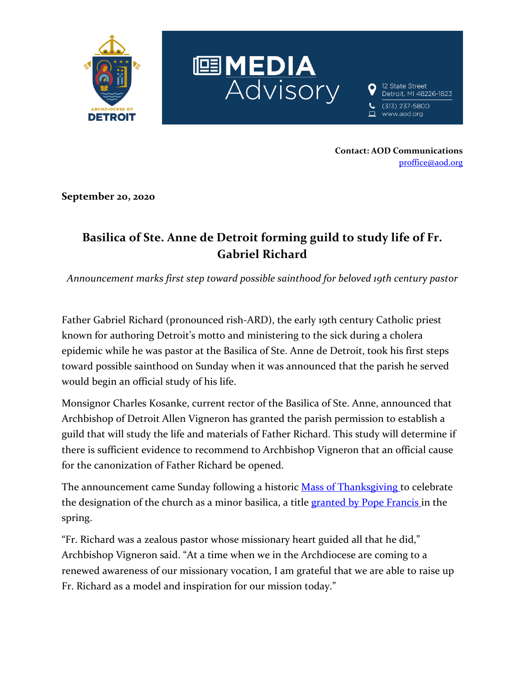

**Contact: AOD Communications** [proffice@aod.org](mailto:proffice@aod.org)

**September 20, 2020**

## **Basilica of Ste. Anne de Detroit forming guild to study life of Fr. Gabriel Richard**

*Announcement marks first step toward possible sainthood for beloved 19th century pastor*

Father Gabriel Richard (pronounced rish-ARD), the early 19th century Catholic priest known for authoring Detroit's motto and ministering to the sick during a cholera epidemic while he was pastor at the Basilica of Ste. Anne de Detroit, took his first steps toward possible sainthood on Sunday when it was announced that the parish he served would begin an official study of his life.

Monsignor Charles Kosanke, current rector of the Basilica of Ste. Anne, announced that Archbishop of Detroit Allen Vigneron has granted the parish permission to establish a guild that will study the life and materials of Father Richard. This study will determine if there is sufficient evidence to recommend to Archbishop Vigneron that an official cause for the canonization of Father Richard be opened.

The announcement came Sunday following a historic **[Mass of Thanksgiving](https://mailchi.mp/aod/ste-anne-mass-of-thanksgiving?e=f3ed1c565b)** to celebrate the designation of the church as a minor basilica, a title [granted by Pope Francis](https://www.aod.org/announcements-newsroom/newsroom/2020/march/media-advisory-pope-francis-grants-ste-anne-church-in-detroit-honorary-title-of-minor-basilica) in the spring.

"Fr. Richard was a zealous pastor whose missionary heart guided all that he did," Archbishop Vigneron said. "At a time when we in the Archdiocese are coming to a renewed awareness of our missionary vocation, I am grateful that we are able to raise up Fr. Richard as a model and inspiration for our mission today."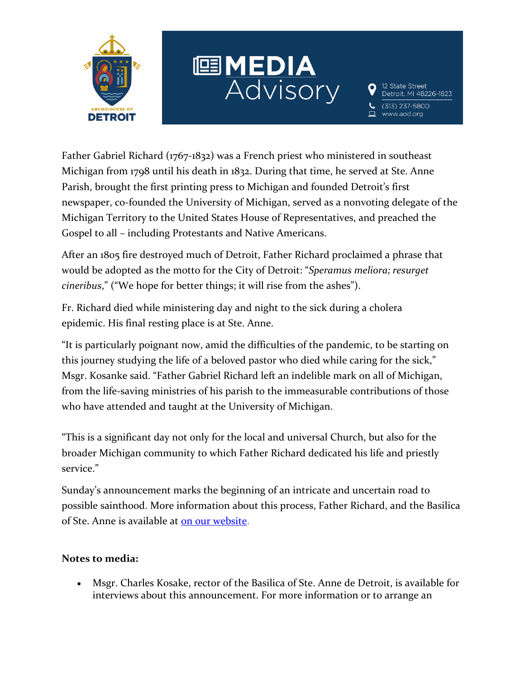

## EDIA<br>Advisory

12 State Street Detroit, MI 48226-1823 (313) 237-5800

www.aod.org

Father Gabriel Richard (1767-1832) was a French priest who ministered in southeast Michigan from 1798 until his death in 1832. During that time, he served at Ste. Anne Parish, brought the first printing press to Michigan and founded Detroit's first newspaper, co-founded the University of Michigan, served as a nonvoting delegate of the Michigan Territory to the United States House of Representatives, and preached the Gospel to all – including Protestants and Native Americans.

After an 1805 fire destroyed much of Detroit, Father Richard proclaimed a phrase that would be adopted as the motto for the City of Detroit: "*Speramus meliora; resurget cineribus*," ("We hope for better things; it will rise from the ashes").

Fr. Richard died while ministering day and night to the sick during a cholera epidemic. His final resting place is at Ste. Anne.

"It is particularly poignant now, amid the difficulties of the pandemic, to be starting on this journey studying the life of a beloved pastor who died while caring for the sick," Msgr. Kosanke said. "Father Gabriel Richard left an indelible mark on all of Michigan, from the life-saving ministries of his parish to the immeasurable contributions of those who have attended and taught at the University of Michigan.

"This is a significant day not only for the local and universal Church, but also for the broader Michigan community to which Father Richard dedicated his life and priestly service."

Sunday's announcement marks the beginning of an intricate and uncertain road to possible sainthood. More information about this process, Father Richard, and the Basilica of Ste. Anne is available at [on our website.](http://www.aod.org/fr-gabriel-richard)

## **Notes to media:**

• Msgr. Charles Kosake, rector of the Basilica of Ste. Anne de Detroit, is available for interviews about this announcement. For more information or to arrange an